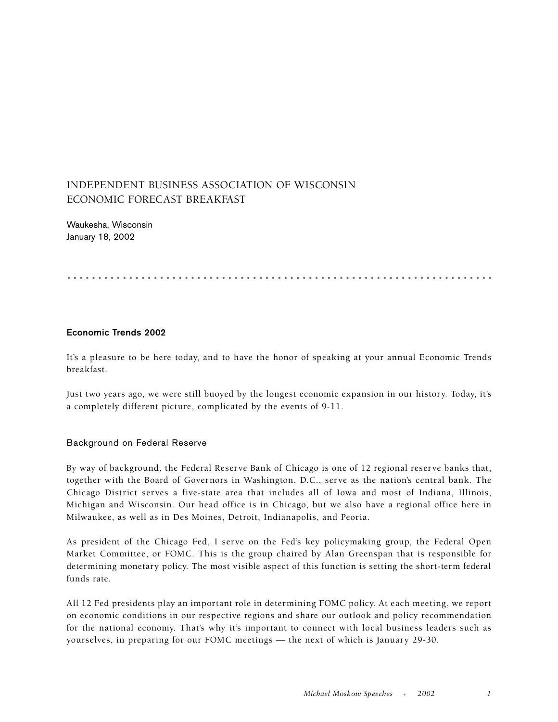# INDEPENDENT BUSINESS ASSOCIATION OF WISCONSIN ECONOMIC FORECAST BREAKFAST

Waukesha, Wisconsin January 18, 2002

.....................................................................

#### **Economic Trends 2002**

It's a pleasure to be here today, and to have the honor of speaking at your annual Economic Trends breakfast.

Just two years ago, we were still buoyed by the longest economic expansion in our history. Today, it's a completely different picture, complicated by the events of 9-11.

# Background on Federal Reserve

By way of background, the Federal Reserve Bank of Chicago is one of 12 regional reserve banks that, together with the Board of Governors in Washington, D.C., serve as the nation's central bank. The Chicago District serves a five-state area that includes all of Iowa and most of Indiana, Illinois, Michigan and Wisconsin. Our head office is in Chicago, but we also have a regional office here in Milwaukee, as well as in Des Moines, Detroit, Indianapolis, and Peoria.

As president of the Chicago Fed, I serve on the Fed's key policymaking group, the Federal Open Market Committee, or FOMC. This is the group chaired by Alan Greenspan that is responsible for determining monetary policy. The most visible aspect of this function is setting the short-term federal funds rate.

All 12 Fed presidents play an important role in determining FOMC policy. At each meeting, we report on economic conditions in our respective regions and share our outlook and policy recommendation for the national economy. That's why it's important to connect with local business leaders such as yourselves, in preparing for our FOMC meetings — the next of which is January 29-30.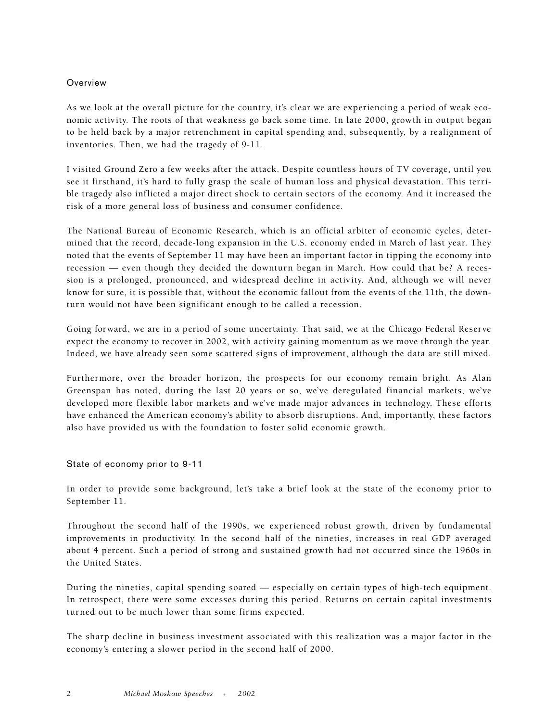#### Overview

As we look at the overall picture for the country, it's clear we are experiencing a period of weak economic activity. The roots of that weakness go back some time. In late 2000, growth in output began to be held back by a major retrenchment in capital spending and, subsequently, by a realignment of inventories. Then, we had the tragedy of 9-11.

I visited Ground Zero a few weeks after the attack. Despite countless hours of TV coverage, until you see it firsthand, it's hard to fully grasp the scale of human loss and physical devastation. This terrible tragedy also inflicted a major direct shock to certain sectors of the economy. And it increased the risk of a more general loss of business and consumer confidence.

The National Bureau of Economic Research, which is an official arbiter of economic cycles, determined that the record, decade-long expansion in the U.S. economy ended in March of last year. They noted that the events of September 11 may have been an important factor in tipping the economy into recession — even though they decided the downturn began in March. How could that be? A recession is a prolonged, pronounced, and widespread decline in activity. And, although we will never know for sure, it is possible that, without the economic fallout from the events of the 11th, the downturn would not have been significant enough to be called a recession.

Going forward, we are in a period of some uncertainty. That said, we at the Chicago Federal Reserve expect the economy to recover in 2002, with activity gaining momentum as we move through the year. Indeed, we have already seen some scattered signs of improvement, although the data are still mixed.

Furthermore, over the broader horizon, the prospects for our economy remain bright. As Alan Greenspan has noted, during the last 20 years or so, we've deregulated financial markets, we've developed more flexible labor markets and we've made major advances in technology. These efforts have enhanced the American economy's ability to absorb disruptions. And, importantly, these factors also have provided us with the foundation to foster solid economic growth.

State of economy prior to 9-11

In order to provide some background, let's take a brief look at the state of the economy prior to September 11.

Throughout the second half of the 1990s, we experienced robust growth, driven by fundamental improvements in productivity. In the second half of the nineties, increases in real GDP averaged about 4 percent. Such a period of strong and sustained growth had not occurred since the 1960s in the United States.

During the nineties, capital spending soared — especially on certain types of high-tech equipment. In retrospect, there were some excesses during this period. Returns on certain capital investments turned out to be much lower than some firms expected.

The sharp decline in business investment associated with this realization was a major factor in the economy's entering a slower period in the second half of 2000.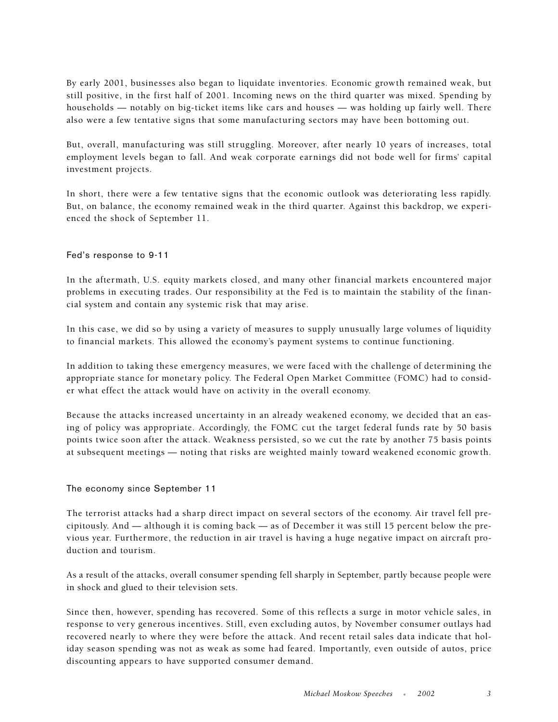By early 2001, businesses also began to liquidate inventories. Economic growth remained weak, but still positive, in the first half of 2001. Incoming news on the third quarter was mixed. Spending by households — notably on big-ticket items like cars and houses — was holding up fairly well. There also were a few tentative signs that some manufacturing sectors may have been bottoming out.

But, overall, manufacturing was still struggling. Moreover, after nearly 10 years of increases, total employment levels began to fall. And weak corporate earnings did not bode well for firms' capital investment projects.

In short, there were a few tentative signs that the economic outlook was deteriorating less rapidly. But, on balance, the economy remained weak in the third quarter. Against this backdrop, we experienced the shock of September 11.

# Fed's response to 9-11

In the aftermath, U.S. equity markets closed, and many other financial markets encountered major problems in executing trades. Our responsibility at the Fed is to maintain the stability of the financial system and contain any systemic risk that may arise.

In this case, we did so by using a variety of measures to supply unusually large volumes of liquidity to financial markets. This allowed the economy's payment systems to continue functioning.

In addition to taking these emergency measures, we were faced with the challenge of determining the appropriate stance for monetary policy. The Federal Open Market Committee (FOMC) had to consider what effect the attack would have on activity in the overall economy.

Because the attacks increased uncertainty in an already weakened economy, we decided that an easing of policy was appropriate. Accordingly, the FOMC cut the target federal funds rate by 50 basis points twice soon after the attack. Weakness persisted, so we cut the rate by another 75 basis points at subsequent meetings — noting that risks are weighted mainly toward weakened economic growth.

# The economy since September 11

The terrorist attacks had a sharp direct impact on several sectors of the economy. Air travel fell precipitously. And — although it is coming back — as of December it was still 15 percent below the previous year. Furthermore, the reduction in air travel is having a huge negative impact on aircraft production and tourism.

As a result of the attacks, overall consumer spending fell sharply in September, partly because people were in shock and glued to their television sets.

Since then, however, spending has recovered. Some of this reflects a surge in motor vehicle sales, in response to very generous incentives. Still, even excluding autos, by November consumer outlays had recovered nearly to where they were before the attack. And recent retail sales data indicate that holiday season spending was not as weak as some had feared. Importantly, even outside of autos, price discounting appears to have supported consumer demand.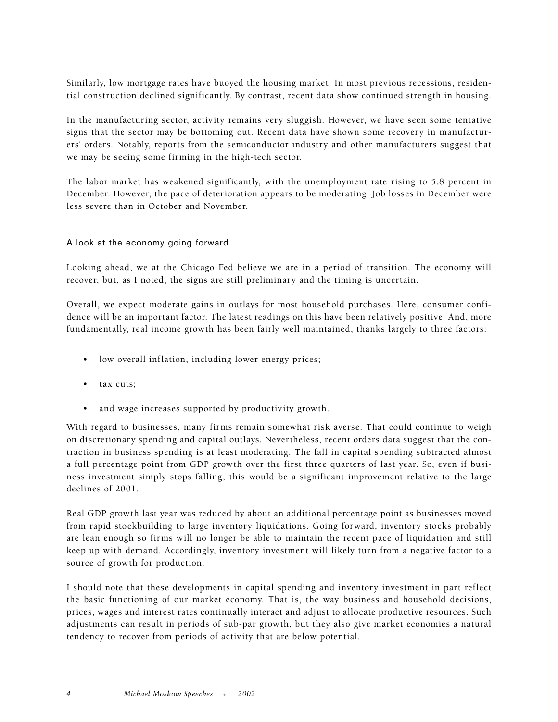Similarly, low mortgage rates have buoyed the housing market. In most previous recessions, residential construction declined significantly. By contrast, recent data show continued strength in housing.

In the manufacturing sector, activity remains very sluggish. However, we have seen some tentative signs that the sector may be bottoming out. Recent data have shown some recovery in manufacturers' orders. Notably, reports from the semiconductor industry and other manufacturers suggest that we may be seeing some firming in the high-tech sector.

The labor market has weakened significantly, with the unemployment rate rising to 5.8 percent in December. However, the pace of deterioration appears to be moderating. Job losses in December were less severe than in October and November.

#### A look at the economy going forward

Looking ahead, we at the Chicago Fed believe we are in a period of transition. The economy will recover, but, as I noted, the signs are still preliminary and the timing is uncertain.

Overall, we expect moderate gains in outlays for most household purchases. Here, consumer confidence will be an important factor. The latest readings on this have been relatively positive. And, more fundamentally, real income growth has been fairly well maintained, thanks largely to three factors:

- low overall inflation, including lower energy prices;
- tax cuts;
- and wage increases supported by productivity growth.

With regard to businesses, many firms remain somewhat risk averse. That could continue to weigh on discretionary spending and capital outlays. Nevertheless, recent orders data suggest that the contraction in business spending is at least moderating. The fall in capital spending subtracted almost a full percentage point from GDP growth over the first three quarters of last year. So, even if business investment simply stops falling, this would be a significant improvement relative to the large declines of 2001.

Real GDP growth last year was reduced by about an additional percentage point as businesses moved from rapid stockbuilding to large inventory liquidations. Going forward, inventory stocks probably are lean enough so firms will no longer be able to maintain the recent pace of liquidation and still keep up with demand. Accordingly, inventory investment will likely turn from a negative factor to a source of growth for production.

I should note that these developments in capital spending and inventory investment in part reflect the basic functioning of our market economy. That is, the way business and household decisions, prices, wages and interest rates continually interact and adjust to allocate productive resources. Such adjustments can result in periods of sub-par growth, but they also give market economies a natural tendency to recover from periods of activity that are below potential.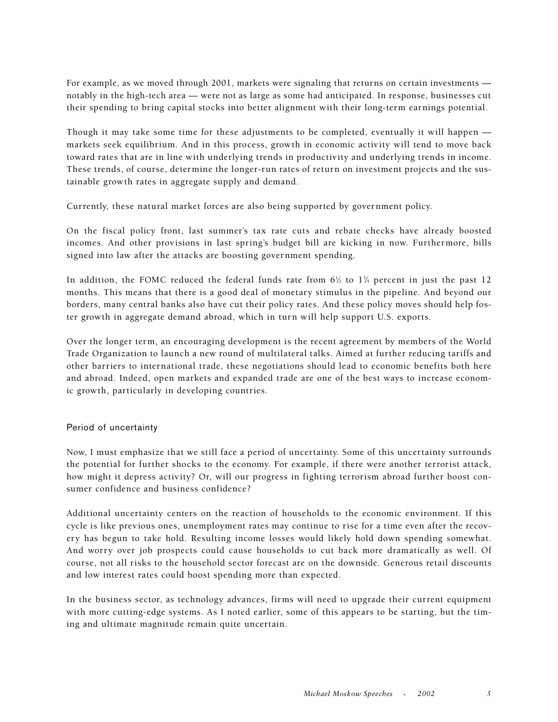For example, as we moved through 2001, markets were signaling that returns on certain investments notably in the high-tech area — were not as large as some had anticipated. In response, businesses cut their spending to bring capital stocks into better alignment with their long-term earnings potential.

Though it may take some time for these adjustments to be completed, eventually it will happen markets seek equilibrium. And in this process, growth in economic activity will tend to move back toward rates that are in line with underlying trends in productivity and underlying trends in income. These trends, of course, determine the longer-run rates of return on investment projects and the sustainable growth rates in aggregate supply and demand.

Currently, these natural market forces are also being supported by government policy.

On the fiscal policy front, last summer's tax rate cuts and rebate checks have already boosted incomes. And other provisions in last spring's budget bill are kicking in now. Furthermore, bills signed into law after the attacks are boosting government spending.

In addition, the FOMC reduced the federal funds rate from  $6\%$  to  $1\%$  percent in just the past 12 months. This means that there is a good deal of monetary stimulus in the pipeline. And beyond our borders, many central banks also have cut their policy rates. And these policy moves should help foster growth in aggregate demand abroad, which in turn will help support U.S. exports.

Over the longer term, an encouraging development is the recent agreement by members of the World Trade Organization to launch a new round of multilateral talks. Aimed at further reducing tariffs and other barriers to international trade, these negotiations should lead to economic benefits both here and abroad. Indeed, open markets and expanded trade are one of the best ways to increase economic growth, particularly in developing countries.

# Period of uncertainty

Now, I must emphasize that we still face a period of uncertainty. Some of this uncertainty surrounds the potential for further shocks to the economy. For example, if there were another terrorist attack, how might it depress activity? Or, will our progress in fighting terrorism abroad further boost consumer confidence and business confidence?

Additional uncertainty centers on the reaction of households to the economic environment. If this cycle is like previous ones, unemployment rates may continue to rise for a time even after the recovery has begun to take hold. Resulting income losses would likely hold down spending somewhat. And worry over job prospects could cause households to cut back more dramatically as well. Of course, not all risks to the household sector forecast are on the downside. Generous retail discounts and low interest rates could boost spending more than expected.

In the business sector, as technology advances, firms will need to upgrade their current equipment with more cutting-edge systems. As I noted earlier, some of this appears to be starting, but the timing and ultimate magnitude remain quite uncertain.